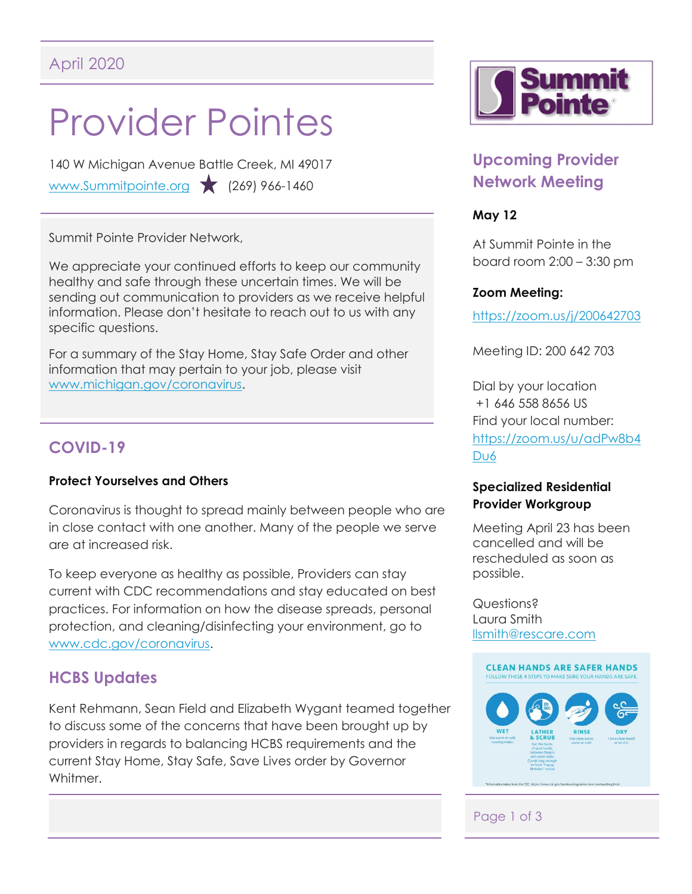# Provider Pointes

140 W Michigan Avenue Battle Creek, MI 49017 [www.Summitpointe.org](http://www.summitpointe.org/) (269) 966-1460

Summit Pointe Provider Network,

We appreciate your continued efforts to keep our community healthy and safe through these uncertain times. We will be sending out communication to providers as we receive helpful information. Please don't hesitate to reach out to us with any specific questions.

For a summary of the Stay Home, Stay Safe Order and other information that may pertain to your job, please visit [www.michigan.gov/coronavirus.](https://www.michigan.gov/coronavirus)

## **COVID-19**

#### **Protect Yourselves and Others**

Coronavirus is thought to spread mainly between people who are in close contact with one another. Many of the people we serve are at increased risk.

To keep everyone as healthy as possible, Providers can stay current with CDC recommendations and stay educated on best practices. For information on how the disease spreads, personal protection, and cleaning/disinfecting your environment, go to [www.cdc.gov/coronavirus.](https://www.cdc.gov/coronavirus/2019-ncov/index.html)

## **HCBS Updates**

Kent Rehmann, Sean Field and Elizabeth Wygant teamed together to discuss some of the concerns that have been brought up by providers in regards to balancing HCBS requirements and the current Stay Home, Stay Safe, Save Lives order by Governor Whitmer.



## **Upcoming Provider Network Meeting**

#### **May 12**

At Summit Pointe in the board room 2:00 – 3:30 pm

#### **Zoom Meeting:**

<https://zoom.us/j/200642703>

Meeting ID: 200 642 703

Dial by your location +1 646 558 8656 US Find your local number: [https://zoom.us/u/adPw8b4](https://zoom.us/u/adPw8b4Du6) D<sub>u</sub>6

#### **Specialized Residential Provider Workgroup**

Meeting April 23 has been cancelled and will be rescheduled as soon as possible.

Questions? Laura Smith [llsmith@rescare.com](mailto:llsmith@rescare.com)



## Page 1 of 3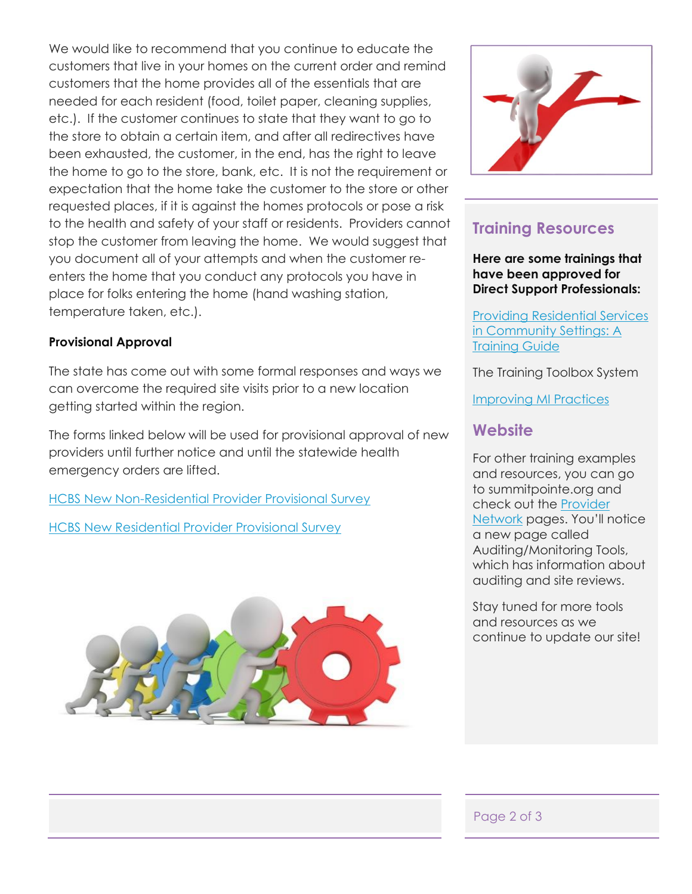We would like to recommend that you continue to educate the customers that live in your homes on the current order and remind customers that the home provides all of the essentials that are needed for each resident (food, toilet paper, cleaning supplies, etc.). If the customer continues to state that they want to go to the store to obtain a certain item, and after all redirectives have been exhausted, the customer, in the end, has the right to leave the home to go to the store, bank, etc. It is not the requirement or expectation that the home take the customer to the store or other requested places, if it is against the homes protocols or pose a risk to the health and safety of your staff or residents. Providers cannot stop the customer from leaving the home. We would suggest that you document all of your attempts and when the customer reenters the home that you conduct any protocols you have in place for folks entering the home (hand washing station, temperature taken, etc.).

#### **Provisional Approval**

The state has come out with some formal responses and ways we can overcome the required site visits prior to a new location getting started within the region.

The forms linked below will be used for provisional approval of new providers until further notice and until the statewide health emergency orders are lifted.

**[HCBS New Non-Residential Provider Provisional Survey](https://drive.google.com/file/d/152TI7BzSrGPsMnoAjclEEZrtAXPWUnBy/view?usp=sharing)** 

[HCBS New Residential Provider Provisional Survey](https://drive.google.com/file/d/1MoD2rwxVgXTOqySgsor3uOxYRpwlTogK/view?usp=sharing)





## **Training Resources**

**Here are some trainings that have been approved for Direct Support Professionals:**

[Providing Residential Services](http://www.michigan.gov/)  [in Community Settings: A](http://www.michigan.gov/)  [Training Guide](http://www.michigan.gov/)

The Training Toolbox System

[Improving MI Practices](http://www.improvingmipractices.com/)

### **Website**

For other training examples and resources, you can go to summitpointe.org and check out the [Provider](https://www.summitpointe.org/provider-network/)  [Network](https://www.summitpointe.org/provider-network/) pages. You'll notice a new page called Auditing/Monitoring Tools, which has information about auditing and site reviews.

Stay tuned for more tools and resources as we continue to update our site!

#### Page 2 of 3